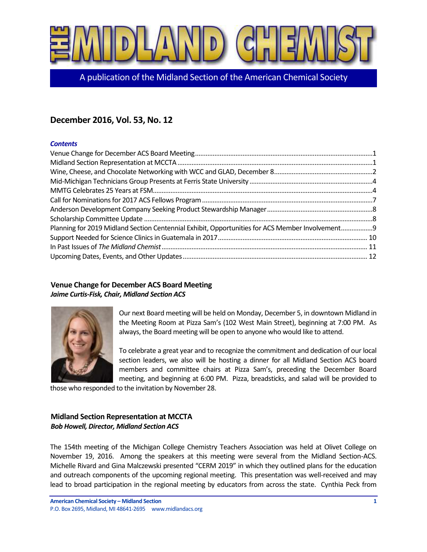

A publication of the Midland Section of the American Chemical Society

## **December 2016, Vol. 53, No. 12**

#### *Contents*

| Planning for 2019 Midland Section Centennial Exhibit, Opportunities for ACS Member Involvement9 |  |
|-------------------------------------------------------------------------------------------------|--|
|                                                                                                 |  |
|                                                                                                 |  |
|                                                                                                 |  |

## <span id="page-0-0"></span>**Venue Change for December ACS Board Meeting** *Jaime Curtis-Fisk, Chair, Midland Section ACS*



Our next Board meeting will be held on Monday, December 5, in downtown Midland in the Meeting Room at Pizza Sam's (102 West Main Street), beginning at 7:00 PM. As always, the Board meeting will be open to anyone who would like to attend.

To celebrate a great year and to recognize the commitment and dedication of our local section leaders, we also will be hosting a dinner for all Midland Section ACS board members and committee chairs at Pizza Sam's, preceding the December Board meeting, and beginning at 6:00 PM. Pizza, breadsticks, and salad will be provided to

those who responded to the invitation by November 28.

## <span id="page-0-1"></span>**Midland Section Representation at MCCTA** *Bob Howell, Director, Midland Section ACS*

The 154th meeting of the Michigan College Chemistry Teachers Association was held at Olivet College on November 19, 2016. Among the speakers at this meeting were several from the Midland Section-ACS. Michelle Rivard and Gina Malczewski presented "CERM 2019" in which they outlined plans for the education and outreach components of the upcoming regional meeting. This presentation was well-received and may lead to broad participation in the regional meeting by educators from across the state. Cynthia Peck from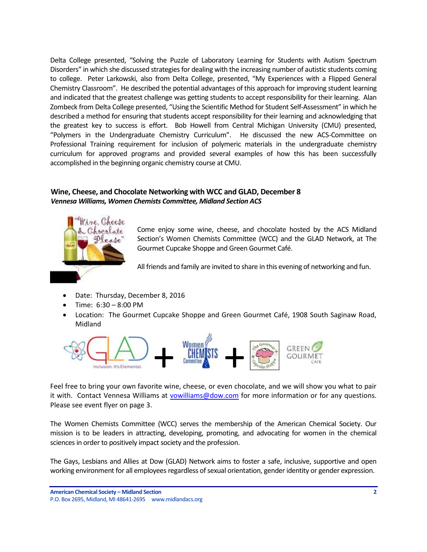Delta College presented, "Solving the Puzzle of Laboratory Learning for Students with Autism Spectrum Disorders" in which she discussed strategies for dealing with the increasing number of autistic students coming to college. Peter Larkowski, also from Delta College, presented, "My Experiences with a Flipped General Chemistry Classroom". He described the potential advantages of this approach for improving student learning and indicated that the greatest challenge was getting students to accept responsibility for their learning. Alan Zombeck from Delta College presented, "Using the Scientific Method for Student Self-Assessment" in which he described a method for ensuring that students accept responsibility for their learning and acknowledging that the greatest key to success is effort. Bob Howell from Central Michigan University (CMU) presented, "Polymers in the Undergraduate Chemistry Curriculum". He discussed the new ACS-Committee on Professional Training requirement for inclusion of polymeric materials in the undergraduate chemistry curriculum for approved programs and provided several examples of how this has been successfully accomplished in the beginning organic chemistry course at CMU.

## <span id="page-1-0"></span>**Wine, Cheese, and Chocolate Networking with WCC and GLAD, December 8** *Vennesa Williams, Women Chemists Committee, Midland Section ACS*



Come enjoy some wine, cheese, and chocolate hosted by the ACS Midland Section's Women Chemists Committee (WCC) and the GLAD Network, at The Gourmet Cupcake Shoppe and Green Gourmet Café.

All friends and family are invited to share in this evening of networking and fun.

- Date: Thursday, December 8, 2016
- Time: 6:30 8:00 PM
- Location: The Gourmet Cupcake Shoppe and Green Gourmet Café, 1908 South Saginaw Road, Midland



Feel free to bring your own favorite wine, cheese, or even chocolate, and we will show you what to pair it with. Contact Vennesa Williams at [vowilliams@dow.com](mailto:vowilliams@dow.com) for more information or for any questions. Please see event flyer on page 3.

The Women Chemists Committee (WCC) serves the membership of the American Chemical Society. Our mission is to be leaders in attracting, developing, promoting, and advocating for women in the chemical sciences in order to positively impact society and the profession.

The Gays, Lesbians and Allies at Dow (GLAD) Network aims to foster a safe, inclusive, supportive and open working environment for all employees regardless of sexual orientation, gender identity or gender expression.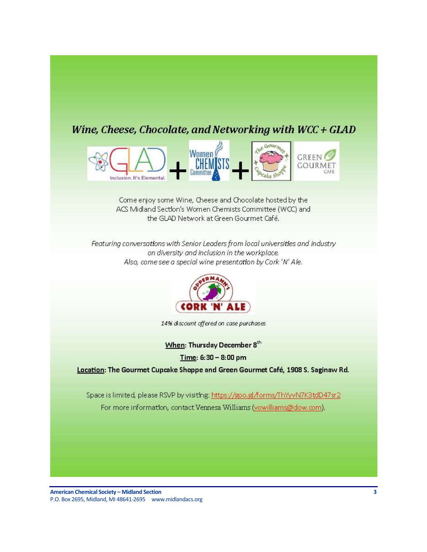# Wine, Cheese, Chocolate, and Networking with WCC + GLAD



Come enjoy some Wine, Cheese and Chocolate hosted by the ACS Midland Section's Women Chemists Committee (WCC) and the GLAD Network at Green Gourmet Café.

Featuring conversations with Senior Leaders from local universities and industry on diversity and inclusion in the workplace. Also, come see a special wine presentation by Cork 'N' Ale.



14% discount offered on case purchases

When: Thursday December 8th

Time: 6:30 - 8:00 pm

Location: The Gourmet Cupcake Shoppe and Green Gourmet Café, 1908 S. Saginaw Rd.

Space is limited, please RSVP by visiting: https://goo.gl/forms/ThYyvN7K3tdD47sr2 For more information, contact Vennesa Williams (vowilliams@dow.com).

**American Chemical Society – Midland Section** P.O. Box 2695, Midland, MI 48641 -2695 www.midlandacs.org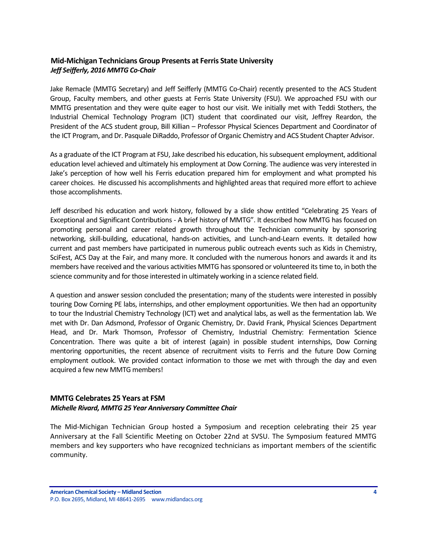## <span id="page-3-0"></span>**Mid-Michigan Technicians Group Presents at Ferris State University** *Jeff Seifferly, 2016 MMTG Co-Chair*

Jake Remacle (MMTG Secretary) and Jeff Seifferly (MMTG Co-Chair) recently presented to the ACS Student Group, Faculty members, and other guests at Ferris State University (FSU). We approached FSU with our MMTG presentation and they were quite eager to host our visit. We initially met with Teddi Stothers, the Industrial Chemical Technology Program (ICT) student that coordinated our visit, Jeffrey Reardon, the President of the ACS student group, Bill Killian – Professor Physical Sciences Department and Coordinator of the ICT Program, and Dr. Pasquale DiRaddo, Professor of Organic Chemistry and ACS Student Chapter Advisor.

As a graduate of the ICT Program at FSU, Jake described his education, his subsequent employment, additional education level achieved and ultimately his employment at Dow Corning. The audience was very interested in Jake's perception of how well his Ferris education prepared him for employment and what prompted his career choices. He discussed his accomplishments and highlighted areas that required more effort to achieve those accomplishments.

Jeff described his education and work history, followed by a slide show entitled "Celebrating 25 Years of Exceptional and Significant Contributions - A brief history of MMTG". It described how MMTG has focused on promoting personal and career related growth throughout the Technician community by sponsoring networking, skill-building, educational, hands-on activities, and Lunch-and-Learn events. It detailed how current and past members have participated in numerous public outreach events such as Kids in Chemistry, SciFest, ACS Day at the Fair, and many more. It concluded with the numerous honors and awards it and its members have received and the various activities MMTG has sponsored or volunteered its time to, in both the science community and for those interested in ultimately working in a science related field.

A question and answer session concluded the presentation; many of the students were interested in possibly touring Dow Corning PE labs, internships, and other employment opportunities. We then had an opportunity to tour the Industrial Chemistry Technology (ICT) wet and analytical labs, as well as the fermentation lab. We met with Dr. Dan Adsmond, Professor of Organic Chemistry, Dr. David Frank, Physical Sciences Department Head, and Dr. Mark Thomson, Professor of Chemistry, Industrial Chemistry: Fermentation Science Concentration. There was quite a bit of interest (again) in possible student internships, Dow Corning mentoring opportunities, the recent absence of recruitment visits to Ferris and the future Dow Corning employment outlook. We provided contact information to those we met with through the day and even acquired a few new MMTG members!

#### <span id="page-3-1"></span>**MMTG Celebrates 25 Years at FSM** *Michelle Rivard, MMTG 25 Year Anniversary Committee Chair*

The Mid-Michigan Technician Group hosted a Symposium and reception celebrating their 25 year Anniversary at the Fall Scientific Meeting on October 22nd at SVSU. The Symposium featured MMTG members and key supporters who have recognized technicians as important members of the scientific community.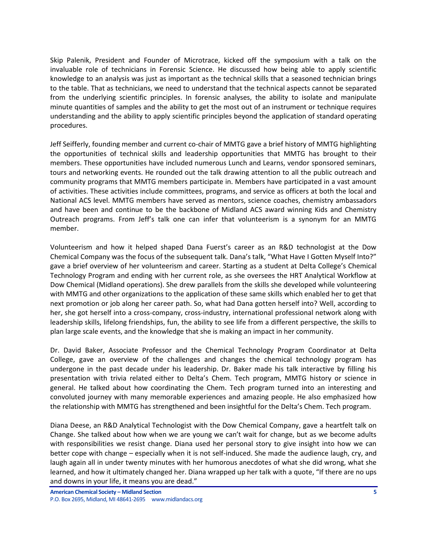Skip Palenik, President and Founder of Microtrace, kicked off the symposium with a talk on the invaluable role of technicians in Forensic Science. He discussed how being able to apply scientific knowledge to an analysis was just as important as the technical skills that a seasoned technician brings to the table. That as technicians, we need to understand that the technical aspects cannot be separated from the underlying scientific principles. In forensic analyses, the ability to isolate and manipulate minute quantities of samples and the ability to get the most out of an instrument or technique requires understanding and the ability to apply scientific principles beyond the application of standard operating procedures.

Jeff Seifferly, founding member and current co-chair of MMTG gave a brief history of MMTG highlighting the opportunities of technical skills and leadership opportunities that MMTG has brought to their members. These opportunities have included numerous Lunch and Learns, vendor sponsored seminars, tours and networking events. He rounded out the talk drawing attention to all the public outreach and community programs that MMTG members participate in. Members have participated in a vast amount of activities. These activities include committees, programs, and service as officers at both the local and National ACS level. MMTG members have served as mentors, science coaches, chemistry ambassadors and have been and continue to be the backbone of Midland ACS award winning Kids and Chemistry Outreach programs. From Jeff's talk one can infer that volunteerism is a synonym for an MMTG member.

Volunteerism and how it helped shaped Dana Fuerst's career as an R&D technologist at the Dow Chemical Company was the focus of the subsequent talk. Dana's talk, "What Have I Gotten Myself Into?" gave a brief overview of her volunteerism and career. Starting as a student at Delta College's Chemical Technology Program and ending with her current role, as she oversees the HRT Analytical Workflow at Dow Chemical (Midland operations). She drew parallels from the skills she developed while volunteering with MMTG and other organizations to the application of these same skills which enabled her to get that next promotion or job along her career path. So, what had Dana gotten herself into? Well, according to her, she got herself into a cross-company, cross-industry, international professional network along with leadership skills, lifelong friendships, fun, the ability to see life from a different perspective, the skills to plan large scale events, and the knowledge that she is making an impact in her community.

Dr. David Baker, Associate Professor and the Chemical Technology Program Coordinator at Delta College, gave an overview of the challenges and changes the chemical technology program has undergone in the past decade under his leadership. Dr. Baker made his talk interactive by filling his presentation with trivia related either to Delta's Chem. Tech program, MMTG history or science in general. He talked about how coordinating the Chem. Tech program turned into an interesting and convoluted journey with many memorable experiences and amazing people. He also emphasized how the relationship with MMTG has strengthened and been insightful for the Delta's Chem. Tech program.

Diana Deese, an R&D Analytical Technologist with the Dow Chemical Company, gave a heartfelt talk on Change. She talked about how when we are young we can't wait for change, but as we become adults with responsibilities we resist change. Diana used her personal story to give insight into how we can better cope with change – especially when it is not self-induced. She made the audience laugh, cry, and laugh again all in under twenty minutes with her humorous anecdotes of what she did wrong, what she learned, and how it ultimately changed her. Diana wrapped up her talk with a quote, "If there are no ups and downs in your life, it means you are dead."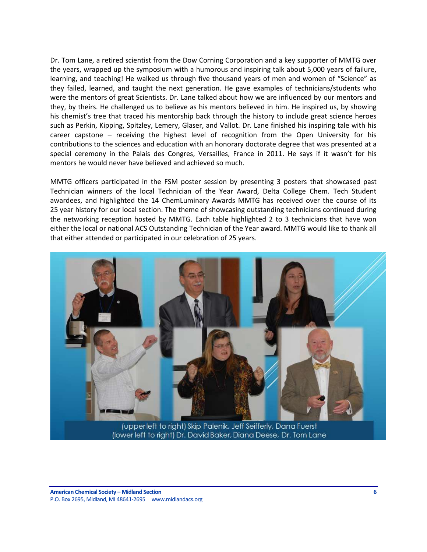Dr. Tom Lane, a retired scientist from the Dow Corning Corporation and a key supporter of MMTG over the years, wrapped up the symposium with a humorous and inspiring talk about 5,000 years of failure, learning, and teaching! He walked us through five thousand years of men and women of "Science" as they failed, learned, and taught the next generation. He gave examples of technicians/students who were the mentors of great Scientists. Dr. Lane talked about how we are influenced by our mentors and they, by theirs. He challenged us to believe as his mentors believed in him. He inspired us, by showing his chemist's tree that traced his mentorship back through the history to include great science heroes such as Perkin, Kipping, Spitzley, Lemery, Glaser, and Vallot. Dr. Lane finished his inspiring tale with his career capstone – receiving the highest level of recognition from the Open University for his contributions to the sciences and education with an honorary doctorate degree that was presented at a special ceremony in the Palais des Congres, Versailles, France in 2011. He says if it wasn't for his mentors he would never have believed and achieved so much.

MMTG officers participated in the FSM poster session by presenting 3 posters that showcased past Technician winners of the local Technician of the Year Award, Delta College Chem. Tech Student awardees, and highlighted the 14 ChemLuminary Awards MMTG has received over the course of its 25 year history for our local section. The theme of showcasing outstanding technicians continued during the networking reception hosted by MMTG. Each table highlighted 2 to 3 technicians that have won either the local or national ACS Outstanding Technician of the Year award. MMTG would like to thank all that either attended or participated in our celebration of 25 years.



(lower left to right) Dr. David Baker, Diana Deese, Dr. Tom Lane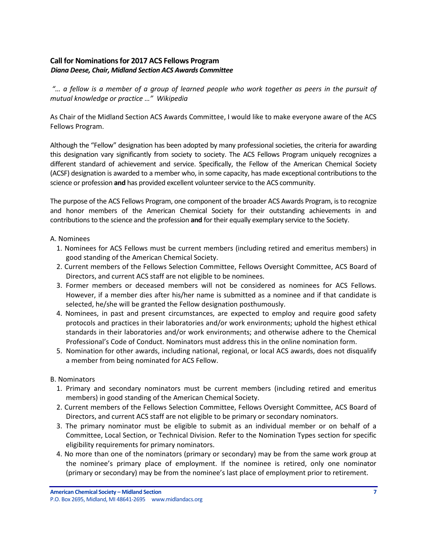## <span id="page-6-0"></span>**Call for Nominations for 2017 ACS Fellows Program** *Diana Deese, Chair, Midland Section ACS Awards Committee*

*"… a fellow is a member of a group of learned people who work together as [peers](https://en.wikipedia.org/wiki/Peer_group) in the pursuit of mutual knowledge or practice …" Wikipedia*

As Chair of the Midland Section ACS Awards Committee, I would like to make everyone aware of the ACS Fellows Program.

Although the "Fellow" designation has been adopted by many professional societies, the criteria for awarding this designation vary significantly from society to society. The ACS Fellows Program uniquely recognizes a different standard of achievement and service. Specifically, the Fellow of the American Chemical Society (ACSF) designation is awarded to a member who, in some capacity, has made exceptional contributions to the science or profession **and** has provided excellent volunteer service to the ACS community.

The purpose of the ACS Fellows Program, one component of the broader ACS Awards Program, is to recognize and honor members of the American Chemical Society for their outstanding achievements in and contributions to the science and the profession **and** for their equally exemplary service to the Society.

#### A. Nominees

- 1. Nominees for ACS Fellows must be current members (including retired and emeritus members) in good standing of the American Chemical Society.
- 2. Current members of the Fellows Selection Committee, Fellows Oversight Committee, ACS Board of Directors, and current ACS staff are not eligible to be nominees.
- 3. Former members or deceased members will not be considered as nominees for ACS Fellows. However, if a member dies after his/her name is submitted as a nominee and if that candidate is selected, he/she will be granted the Fellow designation posthumously.
- 4. Nominees, in past and present circumstances, are expected to employ and require good safety protocols and practices in their laboratories and/or work environments; uphold the highest ethical standards in their laboratories and/or work environments; and otherwise adhere to the Chemical Professional's Code of Conduct. Nominators must address this in the online nomination form.
- 5. Nomination for other awards, including national, regional, or local ACS awards, does not disqualify a member from being nominated for ACS Fellow.

## B. Nominators

- 1. Primary and secondary nominators must be current members (including retired and emeritus members) in good standing of the American Chemical Society.
- 2. Current members of the Fellows Selection Committee, Fellows Oversight Committee, ACS Board of Directors, and current ACS staff are not eligible to be primary or secondary nominators.
- 3. The primary nominator must be eligible to submit as an individual member or on behalf of a Committee, Local Section, or Technical Division. Refer to the Nomination Types section for specific eligibility requirements for primary nominators.
- 4. No more than one of the nominators (primary or secondary) may be from the same work group at the nominee's primary place of employment. If the nominee is retired, only one nominator (primary or secondary) may be from the nominee's last place of employment prior to retirement.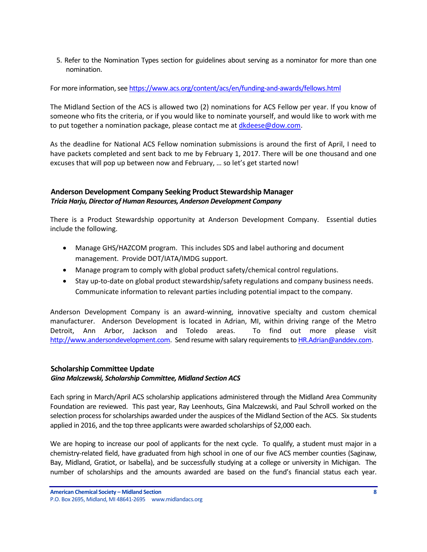5. Refer to the Nomination Types section for guidelines about serving as a nominator for more than one nomination.

For more information, see <https://www.acs.org/content/acs/en/funding-and-awards/fellows.html>

The Midland Section of the ACS is allowed two (2) nominations for ACS Fellow per year. If you know of someone who fits the criteria, or if you would like to nominate yourself, and would like to work with me to put together a nomination package, please contact me a[t dkdeese@dow.com.](mailto:dkdeese@dow.com)

As the deadline for National ACS Fellow nomination submissions is around the first of April, I need to have packets completed and sent back to me by February 1, 2017. There will be one thousand and one excuses that will pop up between now and February, … so let's get started now!

## <span id="page-7-0"></span>**Anderson Development Company Seeking Product Stewardship Manager** *Tricia Harju, Director of Human Resources, Anderson Development Company*

There is a Product Stewardship opportunity at Anderson Development Company. Essential duties include the following.

- Manage GHS/HAZCOM program. This includes SDS and label authoring and document management. Provide DOT/IATA/IMDG support.
- Manage program to comply with global product safety/chemical control regulations.
- Stay up-to-date on global product stewardship/safety regulations and company business needs. Communicate information to relevant parties including potential impact to the company.

Anderson Development Company is an award-winning, innovative specialty and custom chemical manufacturer. Anderson Development is located in Adrian, MI, within driving range of the Metro Detroit, Ann Arbor, Jackson and Toledo areas. To find out more please visit [http://www.andersondevelopment.com.](http://www.andersondevelopment.com/) Send resume with salary requirements t[o HR.Adrian@anddev.com.](mailto:HR.Adrian@anddev.com)

## <span id="page-7-1"></span>**Scholarship Committee Update**

## *Gina Malczewski, Scholarship Committee, Midland Section ACS*

Each spring in March/April ACS scholarship applications administered through the Midland Area Community Foundation are reviewed. This past year, Ray Leenhouts, Gina Malczewski, and Paul Schroll worked on the selection process for scholarships awarded under the auspices of the Midland Section of the ACS. Six students applied in 2016, and the top three applicants were awarded scholarships of \$2,000 each.

We are hoping to increase our pool of applicants for the next cycle. To qualify, a student must major in a chemistry-related field, have graduated from high school in one of our five ACS member counties (Saginaw, Bay, Midland, Gratiot, or Isabella), and be successfully studying at a college or university in Michigan. The number of scholarships and the amounts awarded are based on the fund's financial status each year.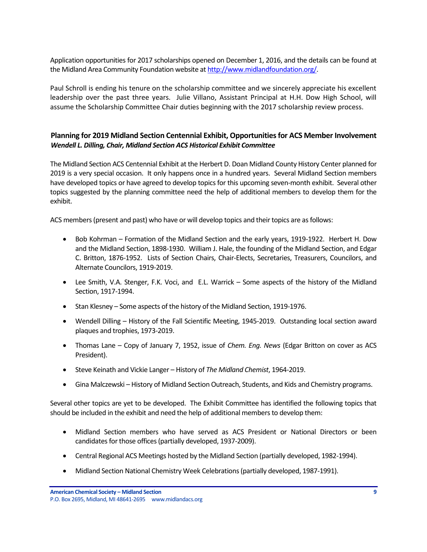Application opportunities for 2017 scholarships opened on December 1, 2016, and the details can be found at the Midland Area Community Foundation website a[t http://www.midlandfoundation.org/.](http://www.midlandfoundation.org/)

Paul Schroll is ending his tenure on the scholarship committee and we sincerely appreciate his excellent leadership over the past three years. Julie Villano, Assistant Principal at H.H. Dow High School, will assume the Scholarship Committee Chair duties beginning with the 2017 scholarship review process.

#### <span id="page-8-0"></span>**Planning for 2019 Midland Section Centennial Exhibit, Opportunities for ACS Member Involvement** *Wendell L. Dilling, Chair, Midland Section ACS Historical Exhibit Committee*

The Midland Section ACS Centennial Exhibit at the Herbert D. Doan Midland County History Center planned for 2019 is a very special occasion. It only happens once in a hundred years. Several Midland Section members have developed topics or have agreed to develop topics for this upcoming seven-month exhibit. Several other topics suggested by the planning committee need the help of additional members to develop them for the exhibit.

ACS members (present and past) who have or will develop topics and their topics are as follows:

- Bob Kohrman Formation of the Midland Section and the early years, 1919-1922. Herbert H. Dow and the Midland Section, 1898-1930. William J. Hale, the founding of the Midland Section, and Edgar C. Britton, 1876-1952. Lists of Section Chairs, Chair-Elects, Secretaries, Treasurers, Councilors, and Alternate Councilors, 1919-2019.
- Lee Smith, V.A. Stenger, F.K. Voci, and E.L. Warrick Some aspects of the history of the Midland Section, 1917-1994.
- Stan Klesney Some aspects of the history of the Midland Section, 1919-1976.
- Wendell Dilling History of the Fall Scientific Meeting, 1945-2019. Outstanding local section award plaques and trophies, 1973-2019.
- Thomas Lane Copy of January 7, 1952, issue of *Chem. Eng. News* (Edgar Britton on cover as ACS President).
- Steve Keinath and Vickie Langer History of *The Midland Chemist*, 1964-2019.
- Gina Malczewski History of Midland Section Outreach, Students, and Kids and Chemistry programs.

Several other topics are yet to be developed. The Exhibit Committee has identified the following topics that should be included in the exhibit and need the help of additional members to develop them:

- Midland Section members who have served as ACS President or National Directors or been candidates for those offices (partially developed, 1937-2009).
- Central Regional ACS Meetings hosted by the Midland Section (partially developed, 1982-1994).
- Midland Section National Chemistry Week Celebrations (partially developed, 1987-1991).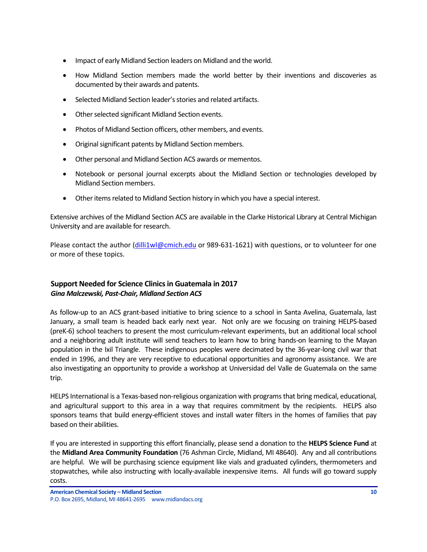- Impact of early Midland Section leaders on Midland and the world.
- How Midland Section members made the world better by their inventions and discoveries as documented by their awards and patents.
- Selected Midland Section leader's stories and related artifacts.
- Other selected significant Midland Section events.
- Photos of Midland Section officers, other members, and events.
- Original significant patents by Midland Section members.
- Other personal and Midland Section ACS awards or mementos.
- Notebook or personal journal excerpts about the Midland Section or technologies developed by Midland Section members.
- Other items related to Midland Section history in which you have a special interest.

Extensive archives of the Midland Section ACS are available in the Clarke Historical Library at Central Michigan University and are available for research.

Please contact the author [\(dilli1wl@cmich.edu](mailto:dilli1wl@cmich.edu) or 989-631-1621) with questions, or to volunteer for one or more of these topics.

## <span id="page-9-0"></span>**Support Needed for Science Clinics in Guatemala in 2017** *Gina Malczewski, Past-Chair, Midland Section ACS*

As follow-up to an ACS grant-based initiative to bring science to a school in Santa Avelina, Guatemala, last January, a small team is headed back early next year. Not only are we focusing on training HELPS-based (preK-6) school teachers to present the most curriculum-relevant experiments, but an additional local school and a neighboring adult institute will send teachers to learn how to bring hands-on learning to the Mayan population in the Ixil Triangle. These indigenous peoples were decimated by the 36-year-long civil war that ended in 1996, and they are very receptive to educational opportunities and agronomy assistance. We are also investigating an opportunity to provide a workshop at Universidad del Valle de Guatemala on the same trip.

HELPS International is a Texas-based non-religious organization with programs that bring medical, educational, and agricultural support to this area in a way that requires commitment by the recipients. HELPS also sponsors teams that build energy-efficient stoves and install water filters in the homes of families that pay based on their abilities.

If you are interested in supporting this effort financially, please send a donation to the **HELPS Science Fund** at the **Midland Area Community Foundation** (76 Ashman Circle, Midland, MI 48640). Any and all contributions are helpful. We will be purchasing science equipment like vials and graduated cylinders, thermometers and stopwatches, while also instructing with locally-available inexpensive items. All funds will go toward supply costs.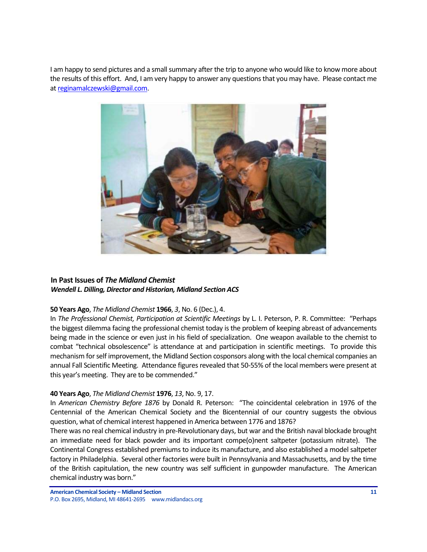I am happy to send pictures and a small summary after the trip to anyone who would like to know more about the results of this effort. And, I am very happy to answer any questions that you may have. Please contact me a[t reginamalczewski@gmail.com.](mailto:reginamalczewski@gmail.com)



## <span id="page-10-0"></span>**In Past Issues of** *The Midland Chemist Wendell L. Dilling, Director and Historian, Midland Section ACS*

#### **50 Years Ago**, *The Midland Chemist* **1966**, *3*, No. 6 (Dec.), 4.

In *The Professional Chemist, Participation at Scientific Meetings* by L. I. Peterson, P. R. Committee: "Perhaps the biggest dilemma facing the professional chemist today is the problem of keeping abreast of advancements being made in the science or even just in his field of specialization. One weapon available to the chemist to combat "technical obsolescence" is attendance at and participation in scientific meetings. To provide this mechanism for self improvement, the Midland Section cosponsors along with the local chemical companies an annual Fall Scientific Meeting. Attendance figures revealed that 50-55% of the local members were present at this year's meeting. They are to be commended."

#### **40 Years Ago**, *The Midland Chemist* **1976**, *13*, No. 9, 17.

In *American Chemistry Before 1876* by Donald R. Peterson: "The coincidental celebration in 1976 of the Centennial of the American Chemical Society and the Bicentennial of our country suggests the obvious question, what of chemical interest happened in America between 1776 and 1876?

There was no real chemical industry in pre-Revolutionary days, but war and the British naval blockade brought an immediate need for black powder and its important compe(o)nent saltpeter (potassium nitrate). The Continental Congress established premiums to induce its manufacture, and also established a model saltpeter factory in Philadelphia. Several other factories were built in Pennsylvania and Massachusetts, and by the time of the British capitulation, the new country was self sufficient in gunpowder manufacture. The American chemical industry was born."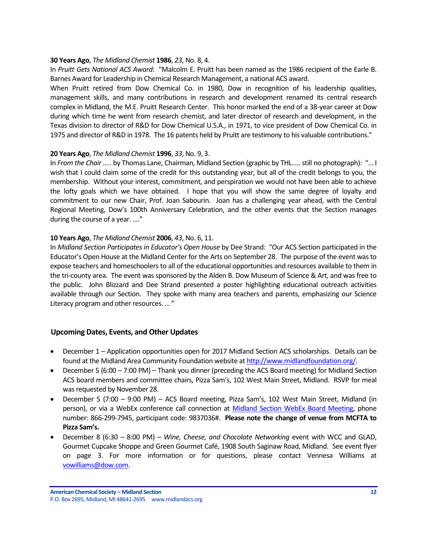#### **30 Years Ago**, *The Midland Chemist* **1986**, *23*, No. 8, 4.

In *Pruitt Gets National ACS Award*: "Malcolm E. Pruitt has been named as the 1986 recipient of the Earle B. Barnes Award for Leadership in Chemical Research Management, a national ACS award.

When Pruitt retired from Dow Chemical Co. in 1980, Dow in recognition of his leadership qualities, management skills, and many contributions in research and development renamed its central research complex in Midland, the M.E. Pruitt Research Center. This honor marked the end of a 38-year career at Dow during which time he went from research chemist, and later director of research and development, in the Texas division to director of R&D for Dow Chemical U.S.A., in 1971, to vice president of Dow Chemical Co. in 1975 and director of R&D in 1978. The 16 patents held by Pruitt are testimony to his valuable contributions."

#### **20 Years Ago**, *The Midland Chemist* **1996**, *33*, No. 9, 3.

In *From the Chair …..* by Thomas Lane, Chairman, Midland Section (graphic by THL….. still no photograph): "… I wish that I could claim some of the credit for this outstanding year, but all of the credit belongs to you, the membership. Without your interest, commitment, and perspiration we would not have been able to achieve the lofty goals which we have obtained. I hope that you will show the same degree of loyalty and commitment to our new Chair, Prof. Joan Sabourin. Joan has a challenging year ahead, with the Central Regional Meeting, Dow's 100th Anniversary Celebration, and the other events that the Section manages during the course of a year. …."

#### **10 Years Ago**, *The Midland Chemist* **2006**, *43*, No. 6, 11.

In *Midland Section Participates in Educator's Open House* by Dee Strand: "Our ACS Section participated in the Educator's Open House at the Midland Center for the Arts on September 28. The purpose of the event was to expose teachers and homeschoolers to all of the educational opportunities and resources available to them in the tri-county area. The event was sponsored by the Alden B. Dow Museum of Science & Art, and was free to the public. John Blizzard and Dee Strand presented a poster highlighting educational outreach activities available through our Section. They spoke with many area teachers and parents, emphasizing our Science Literacy program and other resources. … "

## <span id="page-11-0"></span>**Upcoming Dates, Events, and Other Updates**

- December 1 Application opportunities open for 2017 Midland Section ACS scholarships. Details can be found at the Midland Area Community Foundation website a[t http://www.midlandfoundation.org/.](http://www.midlandfoundation.org/)
- December 5 (6:00 7:00 PM) Thank you dinner (preceding the ACS Board meeting) for Midland Section ACS board members and committee chairs, Pizza Sam's, 102 West Main Street, Midland. RSVP for meal was requested by November 28.
- December 5 (7:00 9:00 PM) ACS Board meeting, Pizza Sam's, 102 West Main Street, Midland (in person), or via a WebEx conference call connection at [Midland Section WebEx Board Meeting,](https://meetings.webex.com/collabs/meetings/join?uuid=MDUIF3K1F2PHUAY4ZKRYDP7EXH-MIS) phone number: 866-299-7945, participant code: 9837036#. **Please note the change of venue from MCFTA to Pizza Sam's.**
- December 8 (6:30 8:00 PM) *Wine, Cheese, and Chocolate Networking* event with WCC and GLAD, Gourmet Cupcake Shoppe and Green Gourmet Café, 1908 South Saginaw Road, Midland. See event flyer on page 3. For more information or for questions, please contact Vennesa Williams at [vowilliams@dow.com.](mailto:vowilliams@dow.com)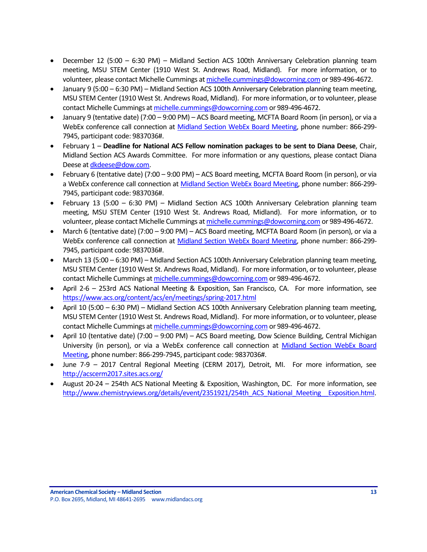- December 12 (5:00 6:30 PM) Midland Section ACS 100th Anniversary Celebration planning team meeting, MSU STEM Center (1910 West St. Andrews Road, Midland). For more information, or to volunteer, please contact Michelle Cummings a[t michelle.cummings@dowcorning.com](mailto:michelle.cummings@dowcorning.com) or 989-496-4672.
- January 9 (5:00 6:30 PM) Midland Section ACS 100th Anniversary Celebration planning team meeting, MSU STEM Center (1910 West St. Andrews Road, Midland). For more information, or to volunteer, please contact Michelle Cummings a[t michelle.cummings@dowcorning.com](mailto:michelle.cummings@dowcorning.com) or 989-496-4672.
- January 9 (tentative date) (7:00 9:00 PM) ACS Board meeting, MCFTA Board Room (in person), or via a WebEx conference call connection at [Midland Section WebEx Board Meeting,](https://meetings.webex.com/collabs/meetings/join?uuid=MDUIF3K1F2PHUAY4ZKRYDP7EXH-MIS) phone number: 866-299- 7945, participant code: 9837036#.
- February 1 **Deadline for National ACS Fellow nomination packages to be sent to Diana Deese**, Chair, Midland Section ACS Awards Committee. For more information or any questions, please contact Diana Deese a[t dkdeese@dow.com.](mailto:dkdeese@dow.com)
- February 6 (tentative date) (7:00 9:00 PM) ACS Board meeting, MCFTA Board Room (in person), or via a WebEx conference call connection at [Midland Section WebEx Board Meeting,](https://meetings.webex.com/collabs/meetings/join?uuid=MDUIF3K1F2PHUAY4ZKRYDP7EXH-MIS) phone number: 866-299- 7945, participant code: 9837036#.
- February 13 (5:00 6:30 PM) Midland Section ACS 100th Anniversary Celebration planning team meeting, MSU STEM Center (1910 West St. Andrews Road, Midland). For more information, or to volunteer, please contact Michelle Cummings a[t michelle.cummings@dowcorning.com](mailto:michelle.cummings@dowcorning.com) or 989-496-4672.
- March 6 (tentative date) (7:00 9:00 PM) ACS Board meeting, MCFTA Board Room (in person), or via a WebEx conference call connection at [Midland Section WebEx Board Meeting,](https://meetings.webex.com/collabs/meetings/join?uuid=MDUIF3K1F2PHUAY4ZKRYDP7EXH-MIS) phone number: 866-299- 7945, participant code: 9837036#.
- March 13 (5:00 6:30 PM) Midland Section ACS 100th Anniversary Celebration planning team meeting, MSU STEM Center (1910 West St. Andrews Road, Midland). For more information, or to volunteer, please contact Michelle Cummings a[t michelle.cummings@dowcorning.com](mailto:michelle.cummings@dowcorning.com) or 989-496-4672.
- April 2-6 253rd ACS National Meeting & Exposition, San Francisco, CA. For more information, see <https://www.acs.org/content/acs/en/meetings/spring-2017.html>
- April 10 (5:00 6:30 PM) Midland Section ACS 100th Anniversary Celebration planning team meeting, MSU STEM Center (1910 West St. Andrews Road, Midland). For more information, or to volunteer, please contact Michelle Cummings a[t michelle.cummings@dowcorning.com](mailto:michelle.cummings@dowcorning.com) or 989-496-4672.
- April 10 (tentative date) (7:00 9:00 PM) ACS Board meeting, Dow Science Building, Central Michigan University (in person), or via a WebEx conference call connection at [Midland Section WebEx Board](https://meetings.webex.com/collabs/meetings/join?uuid=MDUIF3K1F2PHUAY4ZKRYDP7EXH-MIS)  [Meeting,](https://meetings.webex.com/collabs/meetings/join?uuid=MDUIF3K1F2PHUAY4ZKRYDP7EXH-MIS) phone number: 866-299-7945, participant code: 9837036#.
- June 7-9 2017 Central Regional Meeting (CERM 2017), Detroit, MI. For more information, see <http://acscerm2017.sites.acs.org/>
- August 20-24 254th ACS National Meeting & Exposition, Washington, DC. For more information, see http://www.chemistryviews.org/details/event/2351921/254th ACS National Meeting Exposition.html.